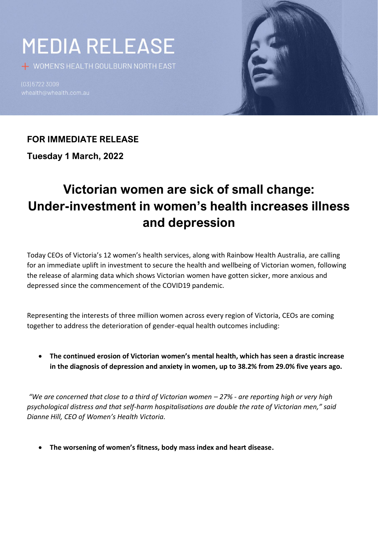# **MEDIA RELEASE**

+ WOMEN'S HEALTH GOULBURN NORTH EAST

(03) 5722 3009



## **FOR IMMEDIATE RELEASE**

**Tuesday 1 March, 2022**

# **Victorian women are sick of small change: Under-investment in women's health increases illness and depression**

Today CEOs of Victoria's 12 women's health services, along with Rainbow Health Australia, are calling for an immediate uplift in investment to secure the health and wellbeing of Victorian women, following the release of alarming data which shows Victorian women have gotten sicker, more anxious and depressed since the commencement of the COVID19 pandemic. 

Representing the interests of three million women across every region of Victoria, CEOs are coming together to address the deterioration of gender-equal health outcomes including:

• **The continued erosion of Victorian women's mental health, which has seen a drastic increase in the diagnosis of depression and anxiety in women, up to 38.2% from 29.0% five years ago.** 

*"We are concerned that close to a third of Victorian women – 27% - are reporting high or very high psychological distress and that self-harm hospitalisations are double the rate of Victorian men," said Dianne Hill, CEO of Women's Health Victoria.*

• **The worsening of women's fitness, body mass index and heart disease.**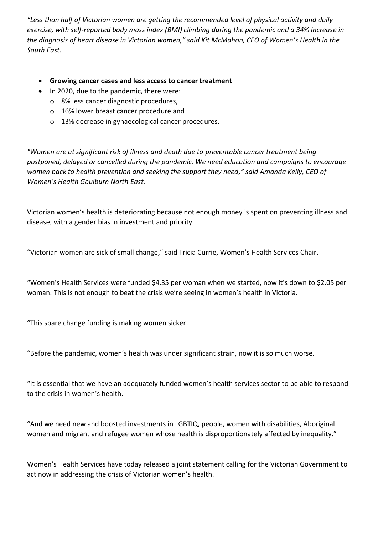*"Less than half of Victorian women are getting the recommended level of physical activity and daily exercise, with self-reported body mass index (BMI) climbing during the pandemic and a 34% increase in the diagnosis of heart disease in Victorian women," said Kit McMahon, CEO of Women's Health in the South East.* 

- **Growing cancer cases and less access to cancer treatment**
- In 2020, due to the pandemic, there were:
	- o 8% less cancer diagnostic procedures,
	- o 16% lower breast cancer procedure and
	- o 13% decrease in gynaecological cancer procedures.

*"Women are at significant risk of illness and death due to preventable cancer treatment being postponed, delayed or cancelled during the pandemic. We need education and campaigns to encourage women back to health prevention and seeking the support they need," said Amanda Kelly, CEO of Women's Health Goulburn North East.* 

Victorian women's health is deteriorating because not enough money is spent on preventing illness and disease, with a gender bias in investment and priority.

"Victorian women are sick of small change," said Tricia Currie, Women's Health Services Chair.

"Women's Health Services were funded \$4.35 per woman when we started, now it's down to \$2.05 per woman. This is not enough to beat the crisis we're seeing in women's health in Victoria.

"This spare change funding is making women sicker.

"Before the pandemic, women's health was under significant strain, now it is so much worse.

"It is essential that we have an adequately funded women's health services sector to be able to respond to the crisis in women's health.

"And we need new and boosted investments in LGBTIQ, people, women with disabilities, Aboriginal women and migrant and refugee women whose health is disproportionately affected by inequality."

Women's Health Services have today released a joint statement calling for the Victorian Government to act now in addressing the crisis of Victorian women's health.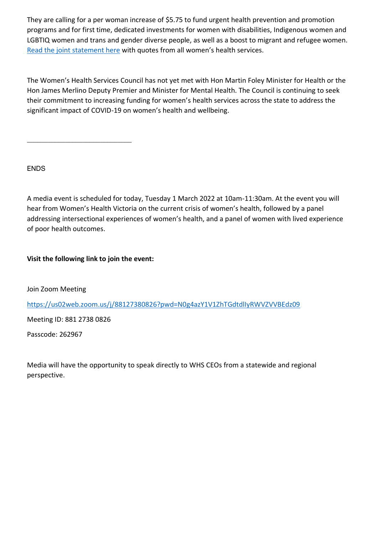They are calling for a per woman increase of \$5.75 to fund urgent health prevention and promotion programs and for first time, dedicated investments for women with disabilities, Indigenous women and LGBTIQ women and trans and gender diverse people, as well as a boost to migrant and refugee women. [Read the joint statement here](https://www.genvic.org.au/joint-statement-victorian-women-are-sick-of-small-change/) with quotes from all women's health services.

The Women's Health Services Council has not yet met with Hon Martin Foley Minister for Health or the Hon James Merlino Deputy Premier and Minister for Mental Health. The Council is continuing to seek their commitment to increasing funding for women's health services across the state to address the significant impact of COVID-19 on women's health and wellbeing.

ENDS

A media event is scheduled for today, Tuesday 1 March 2022 at 10am-11:30am. At the event you will hear from Women's Health Victoria on the current crisis of women's health, followed by a panel addressing intersectional experiences of women's health, and a panel of women with lived experience of poor health outcomes.

**Visit the following link to join the event:** 

\_\_\_\_\_\_\_\_\_\_\_\_\_\_\_\_\_\_\_\_\_\_\_\_\_\_\_\_\_\_

Join Zoom Meeting

[https://us02web.zoom.us/j/88127380826?pwd=N0g4azY1V1ZhTGdtdlIyRWVZVVBEdz09](https://us02web.zoom.us/j/88127380826?pwd=N0g4azY1V1ZhTGdtdlIyRWVZVVBEdz09%20%20) 

Meeting ID: 881 2738 0826

Passcode: 262967

Media will have the opportunity to speak directly to WHS CEOs from a statewide and regional perspective.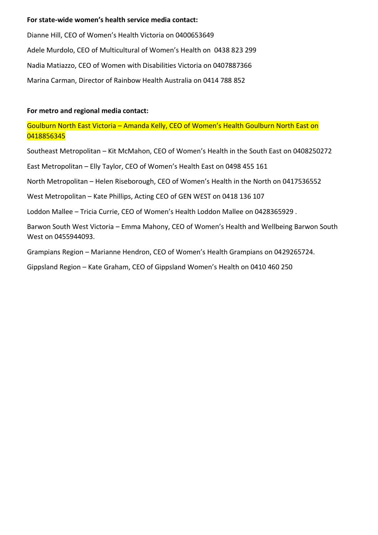#### **For state-wide women's health service media contact:**

Dianne Hill, CEO of Women's Health Victoria on 0400653649  Adele Murdolo, CEO of Multicultural of Women's Health on 0438 823 299 Nadia Matiazzo, CEO of Women with Disabilities Victoria on 0407887366 Marina Carman, Director of Rainbow Health Australia on 0414 788 852

#### **For metro and regional media contact:**

Goulburn North East Victoria – Amanda Kelly, CEO of Women's Health Goulburn North East on 0418856345

Southeast Metropolitan – Kit McMahon, CEO of Women's Health in the South East on 0408250272

East Metropolitan – Elly Taylor, CEO of Women's Health East on 0498 455 161

North Metropolitan – Helen Riseborough, CEO of Women's Health in the North on 0417536552

West Metropolitan – Kate Phillips, Acting CEO of GEN WEST on 0418 136 107

Loddon Mallee – Tricia Currie, CEO of Women's Health Loddon Mallee on 0428365929 .

Barwon South West Victoria – Emma Mahony, CEO of Women's Health and Wellbeing Barwon South West on 0455944093.

Grampians Region – Marianne Hendron, CEO of Women's Health Grampians on 0429265724.

Gippsland Region – Kate Graham, CEO of Gippsland Women's Health on 0410 460 250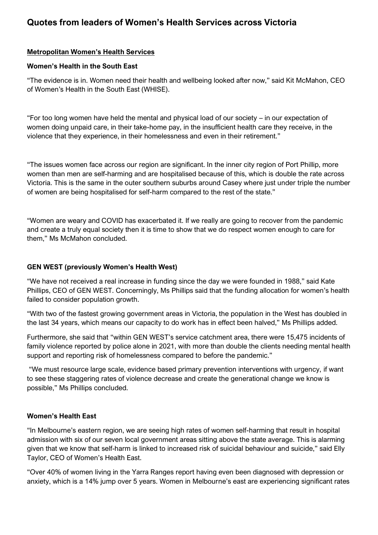### **Quotes from leaders of Women's Health Services across Victoria**

#### **Metropolitan Women's Health Services**

#### **Women's Health in the South East**

"The evidence is in. Women need their health and wellbeing looked after now," said Kit McMahon, CEO of Women's Health in the South East (WHISE).

"For too long women have held the mental and physical load of our society – in our expectation of women doing unpaid care, in their take-home pay, in the insufficient health care they receive, in the violence that they experience, in their homelessness and even in their retirement."

"The issues women face across our region are significant. In the inner city region of Port Phillip, more women than men are self-harming and are hospitalised because of this, which is double the rate across Victoria. This is the same in the outer southern suburbs around Casey where just under triple the number of women are being hospitalised for self-harm compared to the rest of the state."

"Women are weary and COVID has exacerbated it. If we really are going to recover from the pandemic and create a truly equal society then it is time to show that we do respect women enough to care for them," Ms McMahon concluded.

#### **GEN WEST (previously Women's Health West)**

"We have not received a real increase in funding since the day we were founded in 1988," said Kate Phillips, CEO of GEN WEST. Concerningly, Ms Phillips said that the funding allocation for women's health failed to consider population growth.

"With two of the fastest growing government areas in Victoria, the population in the West has doubled in the last 34 years, which means our capacity to do work has in effect been halved," Ms Phillips added.

Furthermore, she said that "within GEN WEST's service catchment area, there were 15,475 incidents of family violence reported by police alone in 2021, with more than double the clients needing mental health support and reporting risk of homelessness compared to before the pandemic."

"We must resource large scale, evidence based primary prevention interventions with urgency, if want to see these staggering rates of violence decrease and create the generational change we know is possible," Ms Phillips concluded.

#### **Women's Health East**

"In Melbourne's eastern region, we are seeing high rates of women self-harming that result in hospital admission with six of our seven local government areas sitting above the state average. This is alarming given that we know that self-harm is linked to increased risk of suicidal behaviour and suicide," said Elly Taylor, CEO of Women's Health East.

"Over 40% of women living in the Yarra Ranges report having even been diagnosed with depression or anxiety, which is a 14% jump over 5 years. Women in Melbourne's east are experiencing significant rates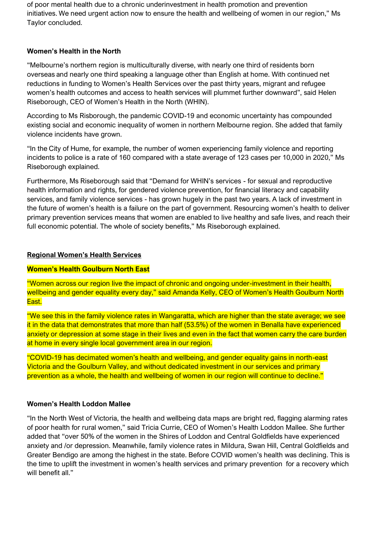of poor mental health due to a chronic underinvestment in health promotion and prevention initiatives. We need urgent action now to ensure the health and wellbeing of women in our region," Ms Taylor concluded.

#### **Women's Health in the North**

"Melbourne's northern region is multiculturally diverse, with nearly one third of residents born overseas and nearly one third speaking a language other than English at home. With continued net reductions in funding to Women's Health Services over the past thirty years, migrant and refugee women's health outcomes and access to health services will plummet further downward", said Helen Riseborough, CEO of Women's Health in the North (WHIN).

According to Ms Risborough, the pandemic COVID-19 and economic uncertainty has compounded existing social and economic inequality of women in northern Melbourne region. She added that family violence incidents have grown.

"In the City of Hume, for example, the number of women experiencing family violence and reporting incidents to police is a rate of 160 compared with a state average of 123 cases per 10,000 in 2020," Ms Riseborough explained.

Furthermore, Ms Riseborough said that "Demand for WHIN's services - for sexual and reproductive health information and rights, for gendered violence prevention, for financial literacy and capability services, and family violence services - has grown hugely in the past two years. A lack of investment in the future of women's health is a failure on the part of government. Resourcing women's health to deliver primary prevention services means that women are enabled to live healthy and safe lives, and reach their full economic potential. The whole of society benefits," Ms Riseborough explained.

#### **Regional Women's Health Services**

#### **Women's Health Goulburn North East**

"Women across our region live the impact of chronic and ongoing under-investment in their health, wellbeing and gender equality every day," said Amanda Kelly, CEO of Women's Health Goulburn North East.

"We see this in the family violence rates in Wangaratta, which are higher than the state average; we see it in the data that demonstrates that more than half (53.5%) of the women in Benalla have experienced anxiety or depression at some stage in their lives and even in the fact that women carry the care burden at home in every single local government area in our region.

"COVID-19 has decimated women's health and wellbeing, and gender equality gains in north-east Victoria and the Goulburn Valley, and without dedicated investment in our services and primary prevention as a whole, the health and wellbeing of women in our region will continue to decline."

#### **Women's Health Loddon Mallee**

"In the North West of Victoria, the health and wellbeing data maps are bright red, flagging alarming rates of poor health for rural women," said Tricia Currie, CEO of Women's Health Loddon Mallee. She further added that "over 50% of the women in the Shires of Loddon and Central Goldfields have experienced anxiety and /or depression. Meanwhile, family violence rates in Mildura, Swan Hill, Central Goldfields and Greater Bendigo are among the highest in the state. Before COVID women's health was declining. This is the time to uplift the investment in women's health services and primary prevention for a recovery which will benefit all."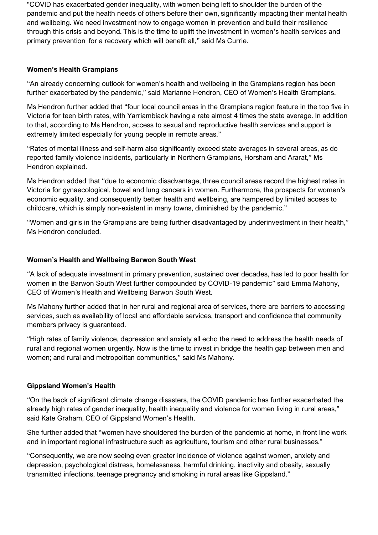"COVID has exacerbated gender inequality, with women being left to shoulder the burden of the pandemic and put the health needs of others before their own, significantly impacting their mental health and wellbeing. We need investment now to engage women in prevention and build their resilience through this crisis and beyond. This is the time to uplift the investment in women's health services and primary prevention for a recovery which will benefit all," said Ms Currie.

#### **Women's Health Grampians**

"An already concerning outlook for women's health and wellbeing in the Grampians region has been further exacerbated by the pandemic," said Marianne Hendron, CEO of Women's Health Grampians.

Ms Hendron further added that "four local council areas in the Grampians region feature in the top five in Victoria for teen birth rates, with Yarriambiack having a rate almost 4 times the state average. In addition to that, according to Ms Hendron, access to sexual and reproductive health services and support is extremely limited especially for young people in remote areas."

"Rates of mental illness and self-harm also significantly exceed state averages in several areas, as do reported family violence incidents, particularly in Northern Grampians, Horsham and Ararat," Ms Hendron explained.

Ms Hendron added that "due to economic disadvantage, three council areas record the highest rates in Victoria for gynaecological, bowel and lung cancers in women. Furthermore, the prospects for women's economic equality, and consequently better health and wellbeing, are hampered by limited access to childcare, which is simply non-existent in many towns, diminished by the pandemic."

"Women and girls in the Grampians are being further disadvantaged by underinvestment in their health," Ms Hendron concluded.

#### **Women's Health and Wellbeing Barwon South West**

"A lack of adequate investment in primary prevention, sustained over decades, has led to poor health for women in the Barwon South West further compounded by COVID-19 pandemic" said Emma Mahony, CEO of Women's Health and Wellbeing Barwon South West.

Ms Mahony further added that in her rural and regional area of services, there are barriers to accessing services, such as availability of local and affordable services, transport and confidence that community members privacy is guaranteed.

"High rates of family violence, depression and anxiety all echo the need to address the health needs of rural and regional women urgently. Now is the time to invest in bridge the health gap between men and women; and rural and metropolitan communities," said Ms Mahony.

#### **Gippsland Women's Health**

"On the back of significant climate change disasters, the COVID pandemic has further exacerbated the already high rates of gender inequality, health inequality and violence for women living in rural areas," said Kate Graham, CEO of Gippsland Women's Health.

She further added that "women have shouldered the burden of the pandemic at home, in front line work and in important regional infrastructure such as agriculture, tourism and other rural businesses."

"Consequently, we are now seeing even greater incidence of violence against women, anxiety and depression, psychological distress, homelessness, harmful drinking, inactivity and obesity, sexually transmitted infections, teenage pregnancy and smoking in rural areas like Gippsland."